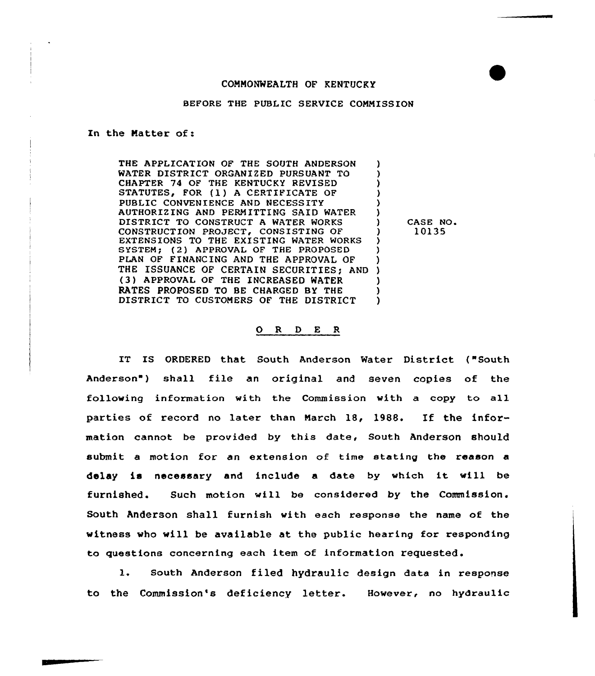## COMMONWEALTH OF KENTUCKY

## BEFORE THE PUBLIC SERVICE COMMISSION

## In the Matter of:

THE APPLICATION OF THE SOUTH ANDERSON WATER DISTRICT ORGANIZED PURSUANT TO CHAPTER 74 OF THE KENTUCKY REVISED STATUTES, FOR (1) A CERTIFICATE OF PUBLIC CONVENIENCE AND NECESSITY AUTHORIZING AND PERMITTING SAID WATER DISTRICT TO CONSTRUCT <sup>A</sup> WATER WORKS CONSTRUCTION PROJECT, CONSISTING OF EXTENSIONS TO THE EXISTING WATER WORKS SYSTEM; (2) APPROVAL OF THE PROPOSED PLAN OF FINANCING AND THE APPROVAL OF THE ISSUANCE OF CERTAIN SECURITIES; AND ) (3) APPROVAL OF THE INCREASED WATER RATES PROPOSED TO BE CHARGED BY THE DISTRICT TO CUSTOMERS OF THE DISTRICT ) ) ) ) ) ) ) ) ) ) ) )

) CASE NO ) 10135

## 0 <sup>R</sup> <sup>D</sup> <sup>E</sup> <sup>R</sup>

IT IS ORDERED that South Anderson Water District ("South Anderson") shall file an original and seven copies of the following information with the Commission with a copy to all parties of record no Later than March 18, 1988. If the information cannot be provided by this date, South Anderson shouLd submit a motion for an extension of time stating the reason a delay is necessary and include <sup>a</sup> date by which it will be furnished. Such motion will be considered by the Commission. South Anderson shall furnish with each response the name of the witness who will be available at the public hearing for responding to questions concerning each item of information requested.

l. South Anderson filed hydraulic design data in response to the Commission's deficiency letter. However, no hydraulic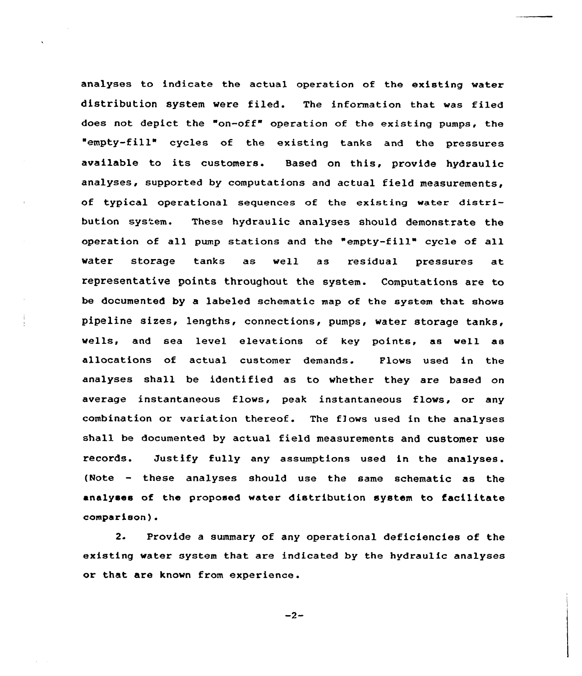analyses to indicate the actual operation of the existing vater distribution system vere filed. The information that was filed does not depict the "on-off" operation of the existing pumps, the 'empty-fill" cycles of the existing tanks and the pressures available to its customers. Based on this, provide hydraulic analyses, supported by computations and actual field measurements, of typical operational sequences of the existing water distribution system. These hydraulic analyses should demonstrate the operation of all pump stations and the "empty-fill" cycle of all water storage tanks as veil as residual pressures at representative points throughout the system. Computations are to be documented by a labeled schematic map of the system that shove pipeline sizes, lengths, connections, pumps, vater storage tanks, wells, and sea level elevations of key points, as well as allocations of actual customer demands. Flows used in the analyses shall be identified as to whether they are based on average instantaneous flows, peak instantaneous flows, or any combination or variation thereof. The flows used in the analyses shall be documented by actual field measurements and customer use records. Justify fully any assumptions used in the analyses. (Note — these analyses should use the same schematic as the analyees of the proposed water distribution system to facilitate comparison) <sup>~</sup>

2. Provide a summary of any operational deficiencies of the existing vater system that are indicated by the hydraulic analyses or that are knovn from experience.

 $-2-$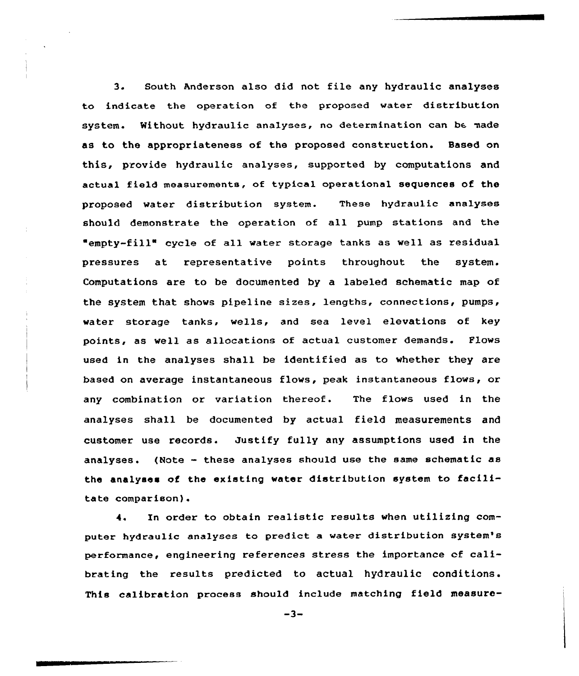3. South Anderson also did not file any hydraulic analyses to indicate the operation of the proposed water distribution system. Without hydraulic analyses, no determination can be made as to the appropriateness of the proposed construction. Based on this, provide hydraulic analyses, supported by computations and actual field measurements, of typical operational sequences of the proposed water distribution system. These hydraulic analyses should demonstrate the operation of all pump stations and the empty-fill" cycle of all water storage tanks as well as residual pressures at representative points throughout the system. Computations are to be documented by a labeled schematic map of the system that shows pipeline sizes, lengths, connections, pumps, water storage tanks, wells, and sea level elevations of key points, as well as allocations of actual customer demands. Plows used in the analyses shall be identified as to whether they are based on average instantaneous flows, peak instantaneous flows, or any combination or variation thereof. The flows used in the analyses shall be documented by actual field measurements and customer use records. Justify fully any assumptions used in the analyses. (Note — these analyses should use the same schematic as the analyaea of the existing water distribution system to facilitate comparison).

4. In order to obtain realistic results when utilizing computer hydraulic analyses to predict a water distribution system's performance, engineering references stress the importance of calibrating the results predicted to actual hydraulic conditions. This calibration process should include matching field measure-

 $-3-$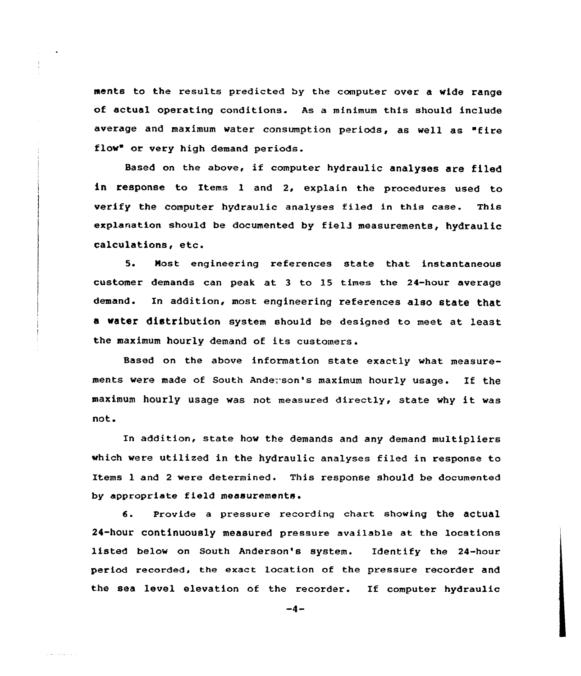ments to the results predicted by the computer over a wide range of actual operating conditions. As a minimum this should include average and maximum water consumption periods, as well as "fire flow" or very high demand periods.

Based on the above, if computer hydraulic analyses are filed in response to Items l and 2, explain the procedures used to verify the computer hydraulic analyses filed in this case. This exp1anation should be documented by fiel3 measurements, hydraulic calculations, etc.

5. Most engineering references state that instantaneous customer demands can peak at <sup>3</sup> to 15 times the 24-hour average demand. In addition, most engineering references also state that a water distribution system should be designed to meet at least the maximum hourly demand of its customers.

Based on the above information state exactly what measurements were made of South Andexson's maximum hourly usage. If the maximum hourly usage was not measured directly, state why it was not.

In addition, state how the demands and any demand multipliers which were utilized in the hydraulic analyses filed in response to Items l and <sup>2</sup> were determined. This response should be documented by appropriate field measurements.

6. Provide a pressure recording chart showing the actual 24-hour continuously measured pressure available at the locations listed below on South Anderson's system. Identify the 24-hour period recorded, the exact location of the pressure recorder and the sea level elevation of the recorder. If computer hydraulic

 $-4-$ 

المتعدين والمحا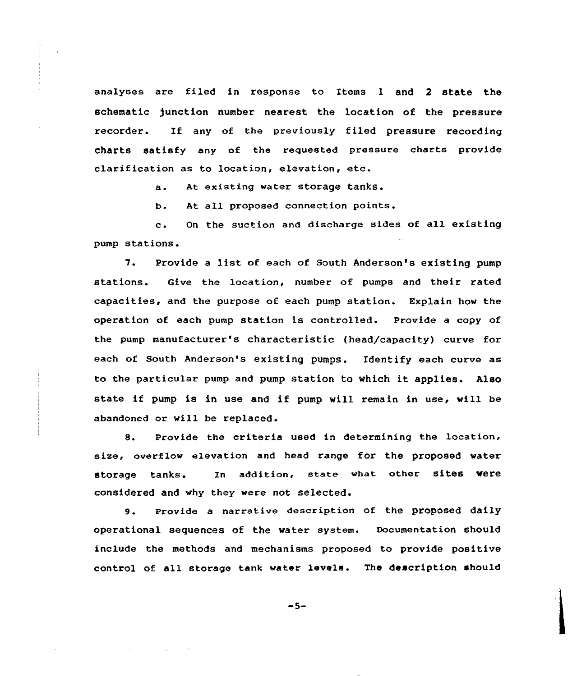analyses are filed in response to Items l and <sup>2</sup> state the schematic )unction number nearest the location of the pressure recorder. If any of the previously filed pressure recording charts satisfy any of the requested pressure charts provide clarification as to location, elevation, etc.

a. At existing water storage tanks.

b. At. all proposed connection points.

c. On the suction and discharge sides of all existing pump stations.

7. Provide <sup>a</sup> list of each of South Anderson's existing pump stations. Give the location, number of pumps and their rated capacities, and the purpose of each pump station. Explain how the operation of each pump station is controlled. Provide a copy of the pump manufacturer's characteristic (head/capacity) curve for each of South Anderson's existing pumps. Identify each curve as to the particular pump and pump station to Which it applies. Also state if pump is in use and if pump vill remain in use, will be abandoned or will be replaced.

8. Provide the criteria used in determining the location, size, overflow elevation and head range for the proposed water storage tanks. In addition, state what other sites were considered and why they were not selected.

9. Provide <sup>a</sup> narrative description of the proposed daily operational sequences of the water system. Documentation should include the methods and mechanisms proposed to provide positive control of all storage tank water levels. The description should

 $-5-$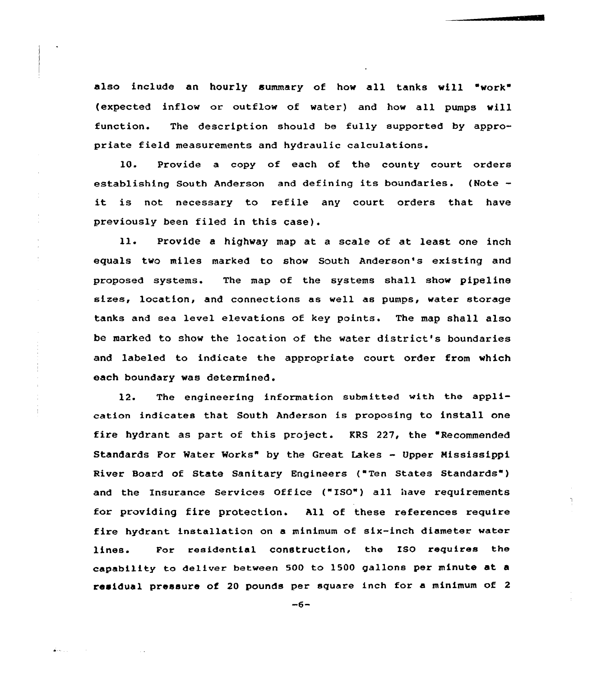also include an hourly summary of how all tanks will "work" (expected inflow or outflow of water) and how all pumps will function. The description should be fully supported by appropriate field measurements and hydraulic calculations.

10. Provide a copy of each of the county court orders establishing South Anderson and defining its boundaries. (Note it is not necessary to refile any court orders that have previously been filed in this case).

ll. Provide <sup>a</sup> highway map at <sup>a</sup> scale of at least one inch equals two miles marked to show South Anderson's existing and proposed systems. The map of the systems shall show pipeline sizes, location, and connections as well as pumps, water storage tanks and sea level elevations of key points. The map shall also be marked to show the location of the water district's boundaries and labeled to indicate the appropriate court order from which each boundary vas determined.

12. The engineering information submitted with the application indicates that South Anderson is proposing to install one fire hydrant as part of this project. KRS 227, the "Recommended Standards For Mater Morks" by the Great Lakes — Upper Mississippi River Board of State Sanitary Engineers ("Ten States Standards" ) and the Insurance Services Office ("ISO") all have requirements for providing fire protection. All of these references require fire hydrant installation on a minimum of six-inch diameter water lines. For residential construction, the Iso requires the capability to deliver between 500 to 1500 gallons per minute at <sup>a</sup> residual pressure of 20 pounds per square inch for a minimum of <sup>2</sup>

 $-6-$ 

 $\Delta$  and  $\Delta$  and